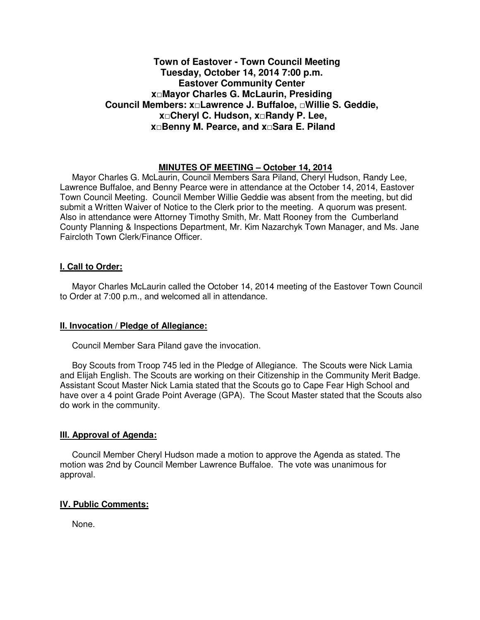# **Town of Eastover - Town Council Meeting Tuesday, October 14, 2014 7:00 p.m. Eastover Community Center x□Mayor Charles G. McLaurin, Presiding Council Members: x□Lawrence J. Buffaloe, □Willie S. Geddie, x□Cheryl C. Hudson, x□Randy P. Lee, x□Benny M. Pearce, and x□Sara E. Piland**

# **MINUTES OF MEETING – October 14, 2014**

Mayor Charles G. McLaurin, Council Members Sara Piland, Cheryl Hudson, Randy Lee, Lawrence Buffaloe, and Benny Pearce were in attendance at the October 14, 2014, Eastover Town Council Meeting. Council Member Willie Geddie was absent from the meeting, but did submit a Written Waiver of Notice to the Clerk prior to the meeting. A quorum was present. Also in attendance were Attorney Timothy Smith, Mr. Matt Rooney from the Cumberland County Planning & Inspections Department, Mr. Kim Nazarchyk Town Manager, and Ms. Jane Faircloth Town Clerk/Finance Officer.

### **I. Call to Order:**

Mayor Charles McLaurin called the October 14, 2014 meeting of the Eastover Town Council to Order at 7:00 p.m., and welcomed all in attendance.

### **II. Invocation / Pledge of Allegiance:**

Council Member Sara Piland gave the invocation.

 Boy Scouts from Troop 745 led in the Pledge of Allegiance. The Scouts were Nick Lamia and Elijah English. The Scouts are working on their Citizenship in the Community Merit Badge. Assistant Scout Master Nick Lamia stated that the Scouts go to Cape Fear High School and have over a 4 point Grade Point Average (GPA). The Scout Master stated that the Scouts also do work in the community.

#### **III. Approval of Agenda:**

 Council Member Cheryl Hudson made a motion to approve the Agenda as stated. The motion was 2nd by Council Member Lawrence Buffaloe. The vote was unanimous for approval.

#### **IV. Public Comments:**

None.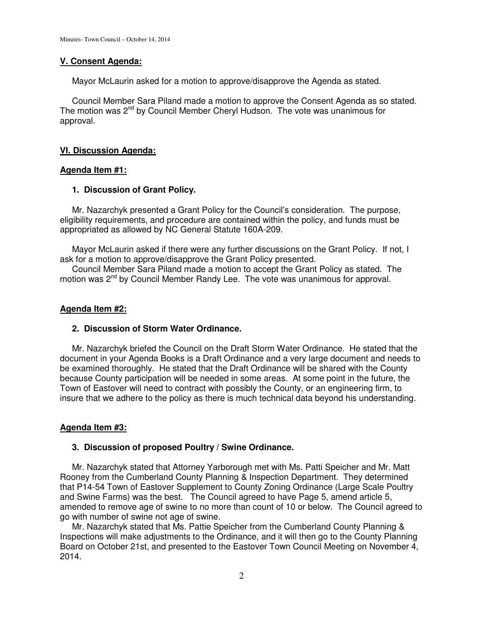## **V. Consent Agenda:**

Mayor McLaurin asked for a motion to approve/disapprove the Agenda as stated.

 Council Member Sara Piland made a motion to approve the Consent Agenda as so stated. The motion was  $2^{nd}$  by Council Member Cheryl Hudson. The vote was unanimous for approval.

# **VI. Discussion Agenda:**

# **Agenda Item #1:**

# **1. Discussion of Grant Policy.**

 Mr. Nazarchyk presented a Grant Policy for the Council's consideration. The purpose, eligibility requirements, and procedure are contained within the policy, and funds must be appropriated as allowed by NC General Statute 160A-209.

 Mayor McLaurin asked if there were any further discussions on the Grant Policy. If not, I ask for a motion to approve/disapprove the Grant Policy presented.

 Council Member Sara Piland made a motion to accept the Grant Policy as stated. The motion was 2<sup>nd</sup> by Council Member Randy Lee. The vote was unanimous for approval.

### **Agenda Item #2:**

# **2. Discussion of Storm Water Ordinance.**

 Mr. Nazarchyk briefed the Council on the Draft Storm Water Ordinance. He stated that the document in your Agenda Books is a Draft Ordinance and a very large document and needs to be examined thoroughly. He stated that the Draft Ordinance will be shared with the County because County participation will be needed in some areas. At some point in the future, the Town of Eastover will need to contract with possibly the County, or an engineering firm, to insure that we adhere to the policy as there is much technical data beyond his understanding.

# **Agenda Item #3:**

### **3. Discussion of proposed Poultry / Swine Ordinance.**

 Mr. Nazarchyk stated that Attorney Yarborough met with Ms. Patti Speicher and Mr. Matt Rooney from the Cumberland County Planning & Inspection Department. They determined that P14-54 Town of Eastover Supplement to County Zoning Ordinance (Large Scale Poultry and Swine Farms) was the best. The Council agreed to have Page 5, amend article 5, amended to remove age of swine to no more than count of 10 or below. The Council agreed to go with number of swine not age of swine.

 Mr. Nazarchyk stated that Ms. Pattie Speicher from the Cumberland County Planning & Inspections will make adjustments to the Ordinance, and it will then go to the County Planning Board on October 21st, and presented to the Eastover Town Council Meeting on November 4, 2014.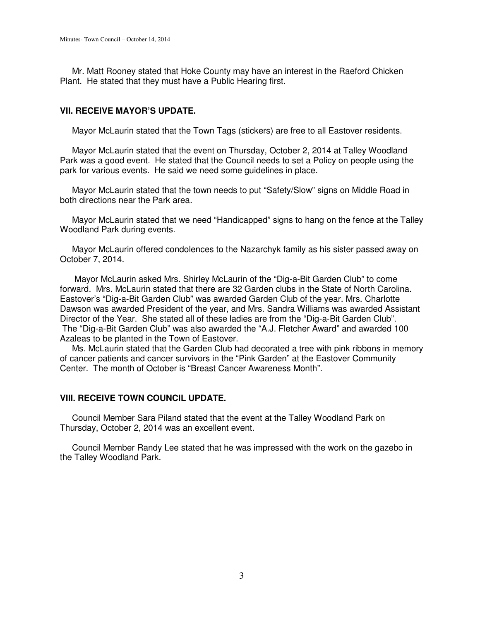Mr. Matt Rooney stated that Hoke County may have an interest in the Raeford Chicken Plant. He stated that they must have a Public Hearing first.

## **VII. RECEIVE MAYOR'S UPDATE.**

Mayor McLaurin stated that the Town Tags (stickers) are free to all Eastover residents.

 Mayor McLaurin stated that the event on Thursday, October 2, 2014 at Talley Woodland Park was a good event. He stated that the Council needs to set a Policy on people using the park for various events. He said we need some guidelines in place.

 Mayor McLaurin stated that the town needs to put "Safety/Slow" signs on Middle Road in both directions near the Park area.

 Mayor McLaurin stated that we need "Handicapped" signs to hang on the fence at the Talley Woodland Park during events.

 Mayor McLaurin offered condolences to the Nazarchyk family as his sister passed away on October 7, 2014.

 Mayor McLaurin asked Mrs. Shirley McLaurin of the "Dig-a-Bit Garden Club" to come forward. Mrs. McLaurin stated that there are 32 Garden clubs in the State of North Carolina. Eastover's "Dig-a-Bit Garden Club" was awarded Garden Club of the year. Mrs. Charlotte Dawson was awarded President of the year, and Mrs. Sandra Williams was awarded Assistant Director of the Year. She stated all of these ladies are from the "Dig-a-Bit Garden Club". The "Dig-a-Bit Garden Club" was also awarded the "A.J. Fletcher Award" and awarded 100 Azaleas to be planted in the Town of Eastover.

 Ms. McLaurin stated that the Garden Club had decorated a tree with pink ribbons in memory of cancer patients and cancer survivors in the "Pink Garden" at the Eastover Community Center. The month of October is "Breast Cancer Awareness Month".

### **VIII. RECEIVE TOWN COUNCIL UPDATE.**

Council Member Sara Piland stated that the event at the Talley Woodland Park on Thursday, October 2, 2014 was an excellent event.

 Council Member Randy Lee stated that he was impressed with the work on the gazebo in the Talley Woodland Park.